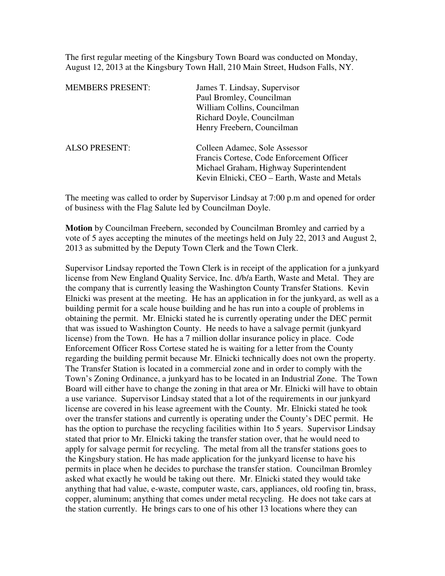The first regular meeting of the Kingsbury Town Board was conducted on Monday, August 12, 2013 at the Kingsbury Town Hall, 210 Main Street, Hudson Falls, NY.

| <b>MEMBERS PRESENT:</b> | James T. Lindsay, Supervisor                 |
|-------------------------|----------------------------------------------|
|                         | Paul Bromley, Councilman                     |
|                         | William Collins, Councilman                  |
|                         | Richard Doyle, Councilman                    |
|                         | Henry Freebern, Councilman                   |
| <b>ALSO PRESENT:</b>    | Colleen Adamec, Sole Assessor                |
|                         | Francis Cortese, Code Enforcement Officer    |
|                         | Michael Graham, Highway Superintendent       |
|                         | Kevin Elnicki, CEO – Earth, Waste and Metals |
|                         |                                              |

The meeting was called to order by Supervisor Lindsay at 7:00 p.m and opened for order of business with the Flag Salute led by Councilman Doyle.

**Motion** by Councilman Freebern, seconded by Councilman Bromley and carried by a vote of 5 ayes accepting the minutes of the meetings held on July 22, 2013 and August 2, 2013 as submitted by the Deputy Town Clerk and the Town Clerk.

Supervisor Lindsay reported the Town Clerk is in receipt of the application for a junkyard license from New England Quality Service, Inc. d/b/a Earth, Waste and Metal. They are the company that is currently leasing the Washington County Transfer Stations. Kevin Elnicki was present at the meeting. He has an application in for the junkyard, as well as a building permit for a scale house building and he has run into a couple of problems in obtaining the permit. Mr. Elnicki stated he is currently operating under the DEC permit that was issued to Washington County. He needs to have a salvage permit (junkyard license) from the Town. He has a 7 million dollar insurance policy in place. Code Enforcement Officer Ross Cortese stated he is waiting for a letter from the County regarding the building permit because Mr. Elnicki technically does not own the property. The Transfer Station is located in a commercial zone and in order to comply with the Town's Zoning Ordinance, a junkyard has to be located in an Industrial Zone. The Town Board will either have to change the zoning in that area or Mr. Elnicki will have to obtain a use variance. Supervisor Lindsay stated that a lot of the requirements in our junkyard license are covered in his lease agreement with the County. Mr. Elnicki stated he took over the transfer stations and currently is operating under the County's DEC permit. He has the option to purchase the recycling facilities within 1to 5 years. Supervisor Lindsay stated that prior to Mr. Elnicki taking the transfer station over, that he would need to apply for salvage permit for recycling. The metal from all the transfer stations goes to the Kingsbury station. He has made application for the junkyard license to have his permits in place when he decides to purchase the transfer station. Councilman Bromley asked what exactly he would be taking out there. Mr. Elnicki stated they would take anything that had value, e-waste, computer waste, cars, appliances, old roofing tin, brass, copper, aluminum; anything that comes under metal recycling. He does not take cars at the station currently. He brings cars to one of his other 13 locations where they can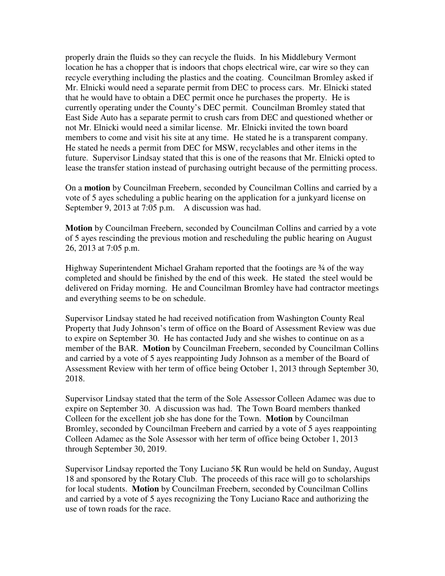properly drain the fluids so they can recycle the fluids. In his Middlebury Vermont location he has a chopper that is indoors that chops electrical wire, car wire so they can recycle everything including the plastics and the coating. Councilman Bromley asked if Mr. Elnicki would need a separate permit from DEC to process cars. Mr. Elnicki stated that he would have to obtain a DEC permit once he purchases the property. He is currently operating under the County's DEC permit. Councilman Bromley stated that East Side Auto has a separate permit to crush cars from DEC and questioned whether or not Mr. Elnicki would need a similar license. Mr. Elnicki invited the town board members to come and visit his site at any time. He stated he is a transparent company. He stated he needs a permit from DEC for MSW, recyclables and other items in the future. Supervisor Lindsay stated that this is one of the reasons that Mr. Elnicki opted to lease the transfer station instead of purchasing outright because of the permitting process.

On a **motion** by Councilman Freebern, seconded by Councilman Collins and carried by a vote of 5 ayes scheduling a public hearing on the application for a junkyard license on September 9, 2013 at 7:05 p.m. A discussion was had.

**Motion** by Councilman Freebern, seconded by Councilman Collins and carried by a vote of 5 ayes rescinding the previous motion and rescheduling the public hearing on August 26, 2013 at 7:05 p.m.

Highway Superintendent Michael Graham reported that the footings are 3⁄4 of the wav completed and should be finished by the end of this week. He stated the steel would be delivered on Friday morning. He and Councilman Bromley have had contractor meetings and everything seems to be on schedule.

Supervisor Lindsay stated he had received notification from Washington County Real Property that Judy Johnson's term of office on the Board of Assessment Review was due to expire on September 30. He has contacted Judy and she wishes to continue on as a member of the BAR. **Motion** by Councilman Freebern, seconded by Councilman Collins and carried by a vote of 5 ayes reappointing Judy Johnson as a member of the Board of Assessment Review with her term of office being October 1, 2013 through September 30, 2018.

Supervisor Lindsay stated that the term of the Sole Assessor Colleen Adamec was due to expire on September 30. A discussion was had. The Town Board members thanked Colleen for the excellent job she has done for the Town. **Motion** by Councilman Bromley, seconded by Councilman Freebern and carried by a vote of 5 ayes reappointing Colleen Adamec as the Sole Assessor with her term of office being October 1, 2013 through September 30, 2019.

Supervisor Lindsay reported the Tony Luciano 5K Run would be held on Sunday, August 18 and sponsored by the Rotary Club. The proceeds of this race will go to scholarships for local students. **Motion** by Councilman Freebern, seconded by Councilman Collins and carried by a vote of 5 ayes recognizing the Tony Luciano Race and authorizing the use of town roads for the race.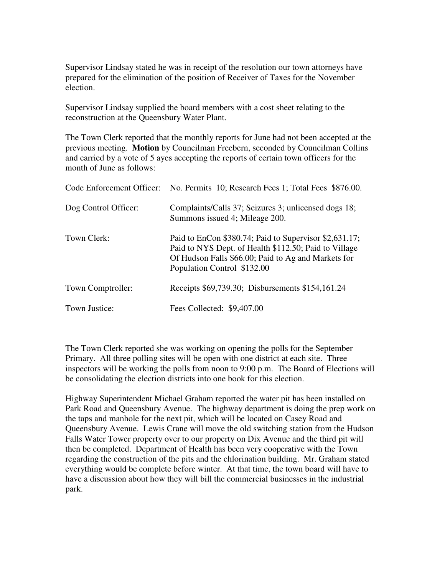Supervisor Lindsay stated he was in receipt of the resolution our town attorneys have prepared for the elimination of the position of Receiver of Taxes for the November election.

Supervisor Lindsay supplied the board members with a cost sheet relating to the reconstruction at the Queensbury Water Plant.

The Town Clerk reported that the monthly reports for June had not been accepted at the previous meeting. **Motion** by Councilman Freebern, seconded by Councilman Collins and carried by a vote of 5 ayes accepting the reports of certain town officers for the month of June as follows:

|                      | Code Enforcement Officer: No. Permits 10; Research Fees 1; Total Fees \$876.00.                                                                                                                       |
|----------------------|-------------------------------------------------------------------------------------------------------------------------------------------------------------------------------------------------------|
| Dog Control Officer: | Complaints/Calls 37; Seizures 3; unlicensed dogs 18;<br>Summons issued 4; Mileage 200.                                                                                                                |
| Town Clerk:          | Paid to EnCon \$380.74; Paid to Supervisor \$2,631.17;<br>Paid to NYS Dept. of Health \$112.50; Paid to Village<br>Of Hudson Falls \$66.00; Paid to Ag and Markets for<br>Population Control \$132.00 |
| Town Comptroller:    | Receipts \$69,739.30; Disbursements \$154,161.24                                                                                                                                                      |
| Town Justice:        | Fees Collected: \$9,407.00                                                                                                                                                                            |

The Town Clerk reported she was working on opening the polls for the September Primary. All three polling sites will be open with one district at each site. Three inspectors will be working the polls from noon to 9:00 p.m. The Board of Elections will be consolidating the election districts into one book for this election.

Highway Superintendent Michael Graham reported the water pit has been installed on Park Road and Queensbury Avenue. The highway department is doing the prep work on the taps and manhole for the next pit, which will be located on Casey Road and Queensbury Avenue. Lewis Crane will move the old switching station from the Hudson Falls Water Tower property over to our property on Dix Avenue and the third pit will then be completed. Department of Health has been very cooperative with the Town regarding the construction of the pits and the chlorination building. Mr. Graham stated everything would be complete before winter. At that time, the town board will have to have a discussion about how they will bill the commercial businesses in the industrial park.